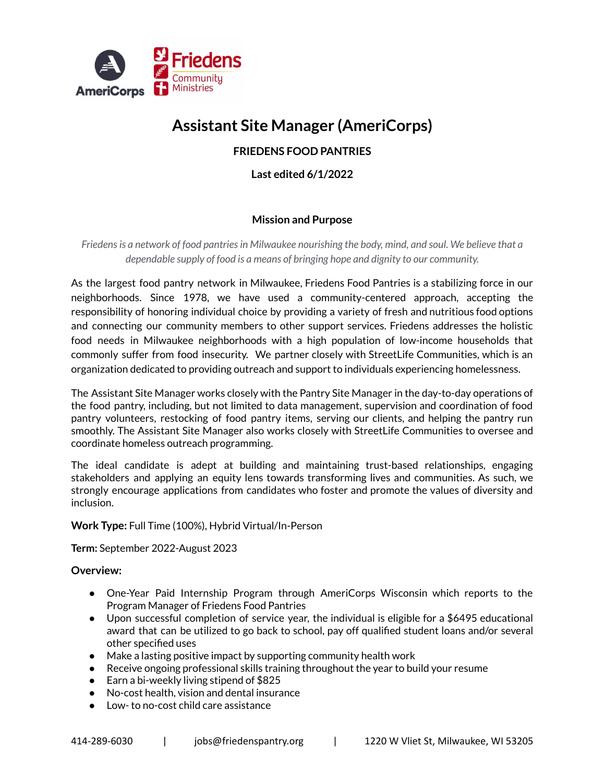

# **Assistant Site Manager (AmeriCorps)**

# **FRIEDENS FOOD PANTRIES**

**Last edited 6/1/2022**

## **Mission and Purpose**

*Friedensis a network of food pantriesin Milwaukee nourishing the body, mind, and soul. We believe that a dependable supply of food is a means of bringing hope and dignity to our community.*

As the largest food pantry network in Milwaukee, Friedens Food Pantries is a stabilizing force in our neighborhoods. Since 1978, we have used a community-centered approach, accepting the responsibility of honoring individual choice by providing a variety of fresh and nutritious food options and connecting our community members to other support services. Friedens addresses the holistic food needs in Milwaukee neighborhoods with a high population of low-income households that commonly suffer from food insecurity. We partner closely with StreetLife Communities, which is an organization dedicated to providing outreach and support to individuals experiencing homelessness.

The Assistant Site Manager works closely with the Pantry Site Manager in the day-to-day operations of the food pantry, including, but not limited to data management, supervision and coordination of food pantry volunteers, restocking of food pantry items, serving our clients, and helping the pantry run smoothly. The Assistant Site Manager also works closely with StreetLife Communities to oversee and coordinate homeless outreach programming.

The ideal candidate is adept at building and maintaining trust-based relationships, engaging stakeholders and applying an equity lens towards transforming lives and communities. As such, we strongly encourage applications from candidates who foster and promote the values of diversity and inclusion.

#### **Work Type:** Full Time (100%), Hybrid Virtual/In-Person

**Term:** September 2022-August 2023

### **Overview:**

- One-Year Paid Internship Program through AmeriCorps Wisconsin which reports to the Program Manager of Friedens Food Pantries
- Upon successful completion of service year, the individual is eligible for a \$6495 educational award that can be utilized to go back to school, pay off qualified student loans and/or several other specified uses
- Make a lasting positive impact by supporting community health work
- Receive ongoing professional skills training throughout the year to build your resume
- Earn a bi-weekly living stipend of \$825
- No-cost health, vision and dental insurance
- Low- to no-cost child care assistance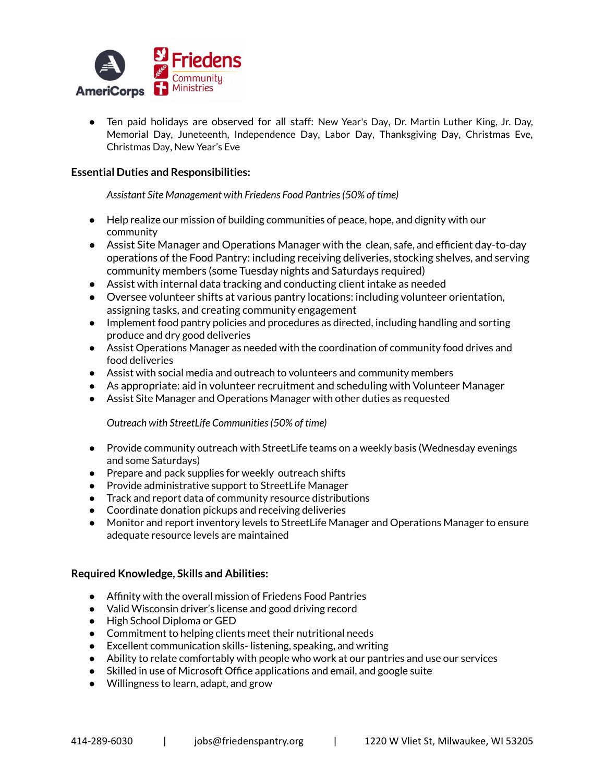

● Ten paid holidays are observed for all staff: New Year's Day, Dr. Martin Luther King, Jr. Day, Memorial Day, Juneteenth, Independence Day, Labor Day, Thanksgiving Day, Christmas Eve, Christmas Day, New Year's Eve

#### **Essential Duties and Responsibilities:**

*Assistant Site Management with Friedens Food Pantries(50% of time)*

- Help realize our mission of building communities of peace, hope, and dignity with our community
- Assist Site Manager and Operations Manager with the clean, safe, and efficient day-to-day operations of the Food Pantry: including receiving deliveries, stocking shelves, and serving community members (some Tuesday nights and Saturdays required)
- Assist with internal data tracking and conducting client intake as needed
- Oversee volunteer shifts at various pantry locations: including volunteer orientation, assigning tasks, and creating community engagement
- Implement food pantry policies and procedures as directed, including handling and sorting produce and dry good deliveries
- Assist Operations Manager as needed with the coordination of community food drives and food deliveries
- Assist with social media and outreach to volunteers and community members
- As appropriate: aid in volunteer recruitment and scheduling with Volunteer Manager
- Assist Site Manager and Operations Manager with other duties as requested

*Outreach with StreetLife Communities(50% of time)*

- Provide community outreach with StreetLife teams on a weekly basis (Wednesday evenings and some Saturdays)
- Prepare and pack supplies for weekly outreach shifts
- Provide administrative support to StreetLife Manager
- Track and report data of community resource distributions
- Coordinate donation pickups and receiving deliveries
- Monitor and report inventory levels to StreetLife Manager and Operations Manager to ensure adequate resource levels are maintained

#### **Required Knowledge, Skills and Abilities:**

- Affinity with the overall mission of Friedens Food Pantries
- Valid Wisconsin driver's license and good driving record
- High School Diploma or GED
- Commitment to helping clients meet their nutritional needs
- Excellent communication skills- listening, speaking, and writing
- Ability to relate comfortably with people who work at our pantries and use our services
- Skilled in use of Microsoft Office applications and email, and google suite
- Willingness to learn, adapt, and grow